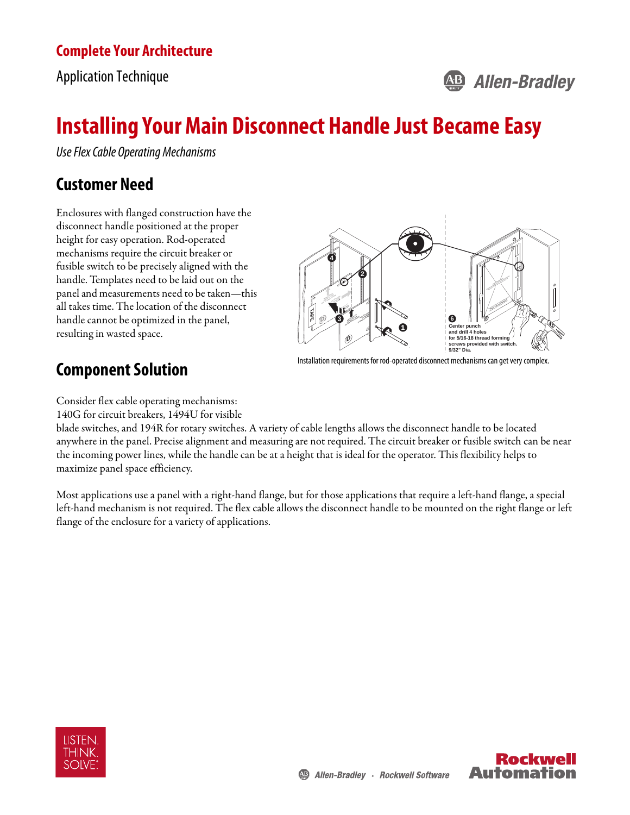#### **Complete Your Architecture**

Application Technique

## **AB Allen-Bradley**

# **Installing Your Main Disconnect Handle Just Became Easy**

Use Flex Cable Operating Mechanisms

## **Customer Need**

Enclosures with flanged construction have the disconnect handle positioned at the proper height for easy operation. Rod-operated mechanisms require the circuit breaker or fusible switch to be precisely aligned with the handle. Templates need to be laid out on the panel and measurements need to be taken—this all takes time. The location of the disconnect handle cannot be optimized in the panel, resulting in wasted space.



## **Component Solution**

Installation requirements for rod-operated disconnect mechanisms can get very complex.

Consider flex cable operating mechanisms:

140G for circuit breakers, 1494U for visible

blade switches, and 194R for rotary switches. A variety of cable lengths allows the disconnect handle to be located anywhere in the panel. Precise alignment and measuring are not required. The circuit breaker or fusible switch can be near the incoming power lines, while the handle can be at a height that is ideal for the operator. This flexibility helps to maximize panel space efficiency.

Most applications use a panel with a right-hand flange, but for those applications that require a left-hand flange, a special left-hand mechanism is not required. The flex cable allows the disconnect handle to be mounted on the right flange or left flange of the enclosure for a variety of applications.